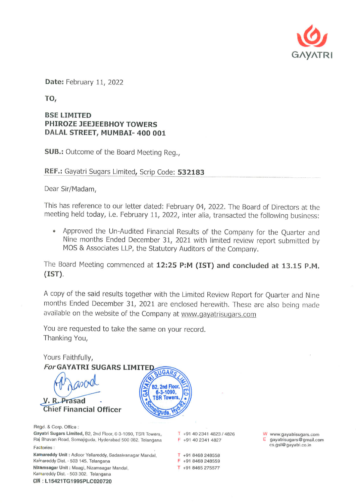

Date: February 11, 2022

TO,

## **BSE LIMITED** PHIROZE JEEJEEBHOY TOWERS DALAL STREET, MUMBAI- 400 001

**SUB.:** Outcome of the Board Meeting Reg.,

REF.: Gayatri Sugars Limited, Scrip Code: 532183

Dear Sir/Madam,

This has reference to our letter dated: February 04, 2022. The Board of Directors at the meeting held today, i.e. February 11, 2022, inter alia, transacted the following business:

• Approved the Un-Audited Financial Results of the Company for the Quarter and Nine months Ended December 31, 2021 with limited review report submitted by MOS & Associates LLP, the Statutory Auditors of the Company.

The Board Meeting commenced at 12:25 P:M (IST) and concluded at 13.15 P.M.  $(IST).$ 

A copy of the said results together with the Limited Review Report for Quarter and Nine months Ended December 31, 2021 are enclosed herewith. These are also being made available on the website of the Company at www.gayatrisugars.com

You are requested to take the same on your record. Thanking You,



Regd. & Corp. Office: Gayatri Sugars Limited, B2, 2nd Floor, 6-3-1090, TSR Towers, Raj Bhavan Road, Somajiguda, Hyderabad 500 082. Telangana

Factories:

Kamareddy Unit: Adloor Yellareddy, Sadasivanagar Mandal, Kamareddy Dist. - 503 145. Telangana Nizamsagar Unit: Maagi, Nizamsagar Mandal, Kamareddy Dist. - 503 302. Telangana CIN: L15421TG1995PLC020720

T +91 40 2341 4823 / 4826 F +91 40 2341 4827

T +91 8468 248558

F +91 8468 248559 T +91 8465 275577

W www.gayatrisugars.com gayatrisugars@gmail.com cs.gsl@gayatri.co.in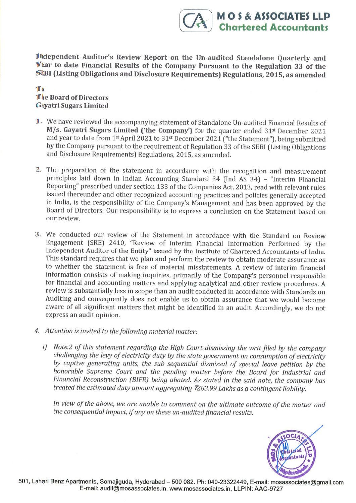Independent Auditor's Review Report on the Un-audited Standalone Quarterly and Year to date Financial Results of the Company Pursuant to the Regulation 33 of the SEBI (Listing Obligations and Disclosure Requirements) Regul

**MOS & ASSOCIATES LLP Chartered Accountants** 

## T<sub>0</sub> The Board of Directors Gayatri Sugars Limited

- We have reviewed the accompanying statement of Standalone Un-audited Financial Results of L. M/s. Gayatri Sugars Limited ('the Company') for the quarter ended  $31<sup>st</sup>$  December 2021 and year to date from 1st April 2021 to 31st December 2021 ("the Statement"), being submitted by the Company pursuant to the requirement of Regulation 33 of the SEBI [Listing Obligations and Disclosure Requirements) Regulations, 2015, as amended.
- principles laid down in Indian Accounting Standard 34 (Ind AS 34) "Interim Financial Reporting" prescribed under section 133 of the Companies Act, 2013, read with relevant rules in India, is the responsibility of the Company's Management and has been approved by the Board of Directors. Our responsibility is to express a conclusion on the Statement based on our review. 2. The preparation of the statement in accordance with the recognition and measurement
- We conducted our review of the Statement in accordance with the Standard on Review 3. Engagement (SRE) 2410, "Review of Interim Financial Information Performed by the Independent Auditor of the Entity'' issued by the lnstitute of Chartered Accountants of India. This standard requires that we plan and perform the review to obtain moderate assurance as to whether the statement is fiee of material misstatements. A review of interim fìnancial information consists of making inquiries, primarily of the Company's personnel responsible for fìnancial and accounting matters and applying analytical and other review procedures. <sup>A</sup> review is substantially less in scope than an audit conducted in accordance with Standards on Auditing and consequently does not enable us to obtain assurance that we would become aware of all significant matters that might be identified in an audit. Accordingly, we do not express an audit opinion.
- Attention is invited to the following material motter: 4.
	- i) Note.2 of this statement regarding the High Court dismissing the writ filed by the company challenging the levy of electricity duty by the state government on consumption of electricity by captive generating units, the sub sequential dismissal of special leave petition by the honorable Supreme Court and the pending matter before the Board for Industrial and Financíal Reconstruction (BIFR) being abated. As stated in the said note, the company hos treated the estimated duty amount aggregating ₹283.99 Lakhs as a contingent liability.

In view of the above, we are unable to comment on the ultimate outcome of the matter and the consequential impact, if any on these un-audited financial results.